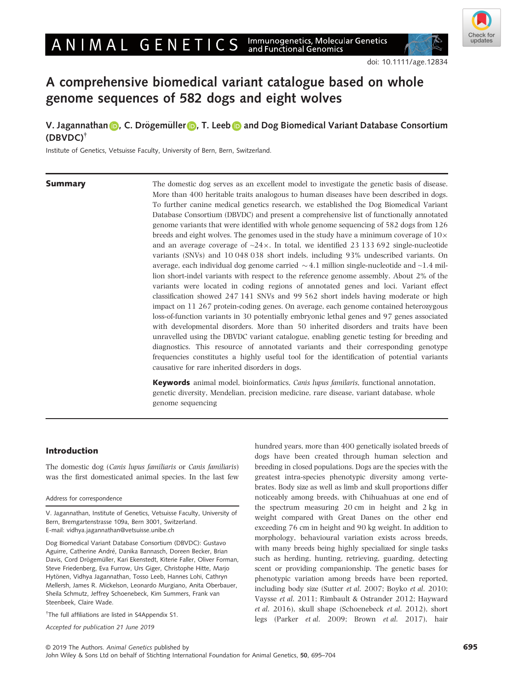## ANIMAL GENETICS Immunogenetics, Molecular Genetics<br>and Functional Genomics



doi: 10.1111/age.12834

# A comprehensive biomedical variant catalogue based on whole genome sequences of 582 dogs and eight wolves

# V. Jaga[n](https://orcid.org/0000-0002-8155-0041)nathan **■**, C. D[r](https://orcid.org/0000-0001-9773-522X)ögemüller ■, T. Lee[b](https://orcid.org/0000-0003-0553-4880) ■ and Dog Biomedical Variant Database Consortium (DBVDC)†

Institute of Genetics, Vetsuisse Faculty, University of Bern, Bern, Switzerland.

**Summary** The domestic dog serves as an excellent model to investigate the genetic basis of disease. More than 400 heritable traits analogous to human diseases have been described in dogs. To further canine medical genetics research, we established the Dog Biomedical Variant Database Consortium (DBVDC) and present a comprehensive list of functionally annotated genome variants that were identified with whole genome sequencing of 582 dogs from 126 breeds and eight wolves. The genomes used in the study have a minimum coverage of  $10\times$ and an average coverage of  $\sim$ 24 $\times$ . In total, we identified 23 133 692 single-nucleotide variants (SNVs) and 10 048 038 short indels, including 93% undescribed variants. On average, each individual dog genome carried  $\sim$  4.1 million single-nucleotide and  $\sim$  1.4 million short-indel variants with respect to the reference genome assembly. About 2% of the variants were located in coding regions of annotated genes and loci. Variant effect classification showed 247 141 SNVs and 99 562 short indels having moderate or high impact on 11 267 protein-coding genes. On average, each genome contained heterozygous loss-of-function variants in 30 potentially embryonic lethal genes and 97 genes associated with developmental disorders. More than 50 inherited disorders and traits have been unravelled using the DBVDC variant catalogue, enabling genetic testing for breeding and diagnostics. This resource of annotated variants and their corresponding genotype frequencies constitutes a highly useful tool for the identification of potential variants causative for rare inherited disorders in dogs.

> Keywords animal model, bioinformatics, Canis lupus familaris, functional annotation, genetic diversity, Mendelian, precision medicine, rare disease, variant database, whole genome sequencing

### Introduction

The domestic dog (Canis lupus familiaris or Canis familiaris) was the first domesticated animal species. In the last few

#### Address for correspondence

Dog Biomedical Variant Database Consortium (DBVDC): Gustavo Aguirre, Catherine André, Danika Bannasch, Doreen Becker, Brian Davis, Cord Drögemüller, Kari Ekenstedt, Kiterie Faller, Oliver Forman, Steve Friedenberg, Eva Furrow, Urs Giger, Christophe Hitte, Marjo Hytönen, Vidhya Jagannathan, Tosso Leeb, Hannes Lohi, Cathryn Mellersh, James R. Mickelson, Leonardo Murgiano, Anita Oberbauer, Sheila Schmutz, Jeffrey Schoenebeck, Kim Summers, Frank van Steenbeek, Claire Wade.

† The full affiliations are listed in S4Appendix S1.

Accepted for publication 21 June 2019

hundred years, more than 400 genetically isolated breeds of dogs have been created through human selection and breeding in closed populations. Dogs are the species with the greatest intra-species phenotypic diversity among vertebrates. Body size as well as limb and skull proportions differ noticeably among breeds, with Chihuahuas at one end of the spectrum measuring 20 cm in height and 2 kg in weight compared with Great Danes on the other end exceeding 76 cm in height and 90 kg weight. In addition to morphology, behavioural variation exists across breeds, with many breeds being highly specialized for single tasks such as herding, hunting, retrieving, guarding, detecting scent or providing companionship. The genetic bases for phenotypic variation among breeds have been reported, including body size (Sutter et al. 2007; Boyko et al. 2010; Vaysse et al. 2011; Rimbault & Ostrander 2012; Hayward et al. 2016), skull shape (Schoenebeck et al. 2012), short legs (Parker et al. 2009; Brown et al. 2017), hair

V. Jagannathan, Institute of Genetics, Vetsuisse Faculty, University of Bern, Bremgartenstrasse 109a, Bern 3001, Switzerland. E-mail: [vidhya.jagannathan@vetsuisse.unibe.ch](mailto:)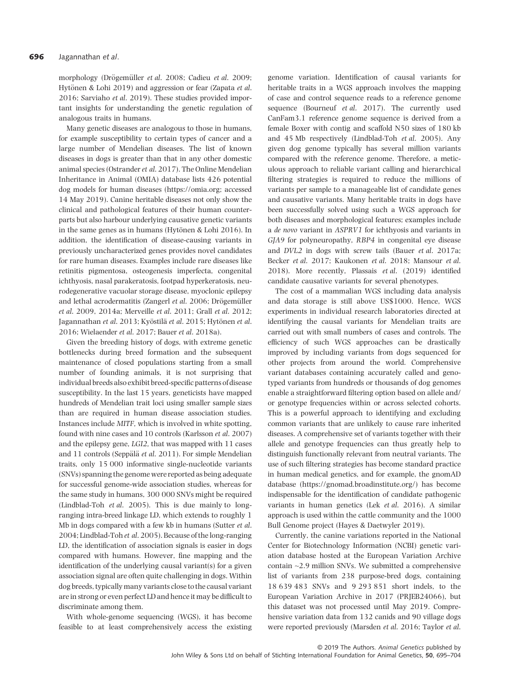morphology (Drögemüller *et al.* 2008; Cadieu *et al.* 2009; Hytönen & Lohi 2019) and aggression or fear (Zapata et al. 2016; Sarviaho et al. 2019). These studies provided important insights for understanding the genetic regulation of analogous traits in humans.

Many genetic diseases are analogous to those in humans, for example susceptibility to certain types of cancer and a large number of Mendelian diseases. The list of known diseases in dogs is greater than that in any other domestic animal species (Ostrander et al. 2017). The Online Mendelian Inheritance in Animal (OMIA) database lists 426 potential dog models for human diseases (https://omia.org; accessed 14 May 2019). Canine heritable diseases not only show the clinical and pathological features of their human counterparts but also harbour underlying causative genetic variants in the same genes as in humans (Hytönen & Lohi 2016). In addition, the identification of disease-causing variants in previously uncharacterized genes provides novel candidates for rare human diseases. Examples include rare diseases like retinitis pigmentosa, osteogenesis imperfecta, congenital ichthyosis, nasal parakeratosis, footpad hyperkeratosis, neurodegenerative vacuolar storage disease, myoclonic epilepsy and lethal acrodermatitis (Zangerl et al. 2006; Drögemüller et al. 2009, 2014a; Merveille et al. 2011; Grall et al. 2012; Jagannathan et al. 2013; Kyöstilä et al. 2015; Hytönen et al. 2016; Wielaender et al. 2017; Bauer et al. 2018a).

Given the breeding history of dogs, with extreme genetic bottlenecks during breed formation and the subsequent maintenance of closed populations starting from a small number of founding animals, it is not surprising that individual breeds also exhibit breed-specific patterns of disease susceptibility. In the last 15 years, geneticists have mapped hundreds of Mendelian trait loci using smaller sample sizes than are required in human disease association studies. Instances include MITF, which is involved in white spotting, found with nine cases and 10 controls (Karlsson et al. 2007) and the epilepsy gene, LGI2, that was mapped with 11 cases and 11 controls (Seppälä et al. 2011). For simple Mendelian traits, only 15 000 informative single-nucleotide variants (SNVs) spanning the genome were reported as being adequate for successful genome-wide association studies, whereas for the same study in humans, 300 000 SNVs might be required (Lindblad-Toh et al. 2005). This is due mainly to longranging intra-breed linkage LD, which extends to roughly 1 Mb in dogs compared with a few kb in humans (Sutter et al. 2004; Lindblad-Toh et al. 2005). Because of the long-ranging LD, the identification of association signals is easier in dogs compared with humans. However, fine mapping and the identification of the underlying causal variant(s) for a given association signal are often quite challenging in dogs. Within dog breeds, typically many variants close to the causal variant are in strong or even perfect LD and hence it may be difficult to discriminate among them.

With whole-genome sequencing (WGS), it has become feasible to at least comprehensively access the existing

genome variation. Identification of causal variants for heritable traits in a WGS approach involves the mapping of case and control sequence reads to a reference genome sequence (Bourneuf *et al.* 2017). The currently used CanFam3.1 reference genome sequence is derived from a female Boxer with contig and scaffold N50 sizes of 180 kb and 45 Mb respectively (Lindblad-Toh et al. 2005). Any given dog genome typically has several million variants compared with the reference genome. Therefore, a meticulous approach to reliable variant calling and hierarchical filtering strategies is required to reduce the millions of variants per sample to a manageable list of candidate genes and causative variants. Many heritable traits in dogs have been successfully solved using such a WGS approach for both diseases and morphological features; examples include a de novo variant in ASPRV1 for ichthyosis and variants in GJA9 for polyneuropathy, RBP4 in congenital eye disease and DVL2 in dogs with screw tails (Bauer et al. 2017a; Becker et al. 2017; Kaukonen et al. 2018; Mansour et al. 2018). More recently, Plassais et al. (2019) identified candidate causative variants for several phenotypes.

The cost of a mammalian WGS including data analysis and data storage is still above US\$1000. Hence, WGS experiments in individual research laboratories directed at identifying the causal variants for Mendelian traits are carried out with small numbers of cases and controls. The efficiency of such WGS approaches can be drastically improved by including variants from dogs sequenced for other projects from around the world. Comprehensive variant databases containing accurately called and genotyped variants from hundreds or thousands of dog genomes enable a straightforward filtering option based on allele and/ or genotype frequencies within or across selected cohorts. This is a powerful approach to identifying and excluding common variants that are unlikely to cause rare inherited diseases. A comprehensive set of variants together with their allele and genotype frequencies can thus greatly help to distinguish functionally relevant from neutral variants. The use of such filtering strategies has become standard practice in human medical genetics, and for example, the gnomAD database [\(https://gnomad.broadinstitute.org/\)](https://gnomad.broadinstitute.org/) has become indispensable for the identification of candidate pathogenic variants in human genetics (Lek et al. 2016). A similar approach is used within the cattle community and the 1000 Bull Genome project (Hayes & Daetwyler 2019).

Currently, the canine variations reported in the National Center for Biotechnology Information (NCBI) genetic variation database hosted at the European Variation Archive contain ~2.9 million SNVs. We submitted a comprehensive list of variants from 238 purpose-bred dogs, containing 18 639 483 SNVs and 9 293 851 short indels, to the European Variation Archive in 2017 (PRJEB24066), but this dataset was not processed until May 2019. Comprehensive variation data from 132 canids and 90 village dogs were reported previously (Marsden et al. 2016; Taylor et al.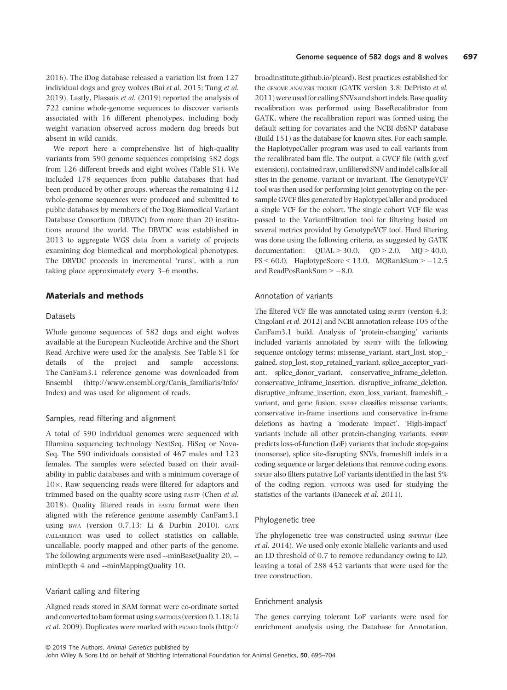2016). The iDog database released a variation list from 127 individual dogs and grey wolves (Bai et al. 2015; Tang et al. 2019). Lastly, Plassais et al. (2019) reported the analysis of 722 canine whole-genome sequences to discover variants associated with 16 different phenotypes, including body weight variation observed across modern dog breeds but absent in wild canids.

We report here a comprehensive list of high-quality variants from 590 genome sequences comprising 582 dogs from 126 different breeds and eight wolves (Table S1). We included 178 sequences from public databases that had been produced by other groups, whereas the remaining 412 whole-genome sequences were produced and submitted to public databases by members of the Dog Biomedical Variant Database Consortium (DBVDC) from more than 20 institutions around the world. The DBVDC was established in 2013 to aggregate WGS data from a variety of projects examining dog biomedical and morphological phenotypes. The DBVDC proceeds in incremental 'runs', with a run taking place approximately every 3–6 months.

#### Materials and methods

#### Datasets

Whole genome sequences of 582 dogs and eight wolves available at the European Nucleotide Archive and the Short Read Archive were used for the analysis. See Table S1 for details of the project and sample accessions. The CanFam3.1 reference genome was downloaded from Ensembl [\(http://www.ensembl.org/Canis\\_familiaris/Info/](http://www.ensembl.org/Canis_familiaris/Info/Index) [Index](http://www.ensembl.org/Canis_familiaris/Info/Index)) and was used for alignment of reads.

#### Samples, read filtering and alignment

A total of 590 individual genomes were sequenced with Illumina sequencing technology NextSeq, HiSeq or Nova-Seq. The 590 individuals consisted of 467 males and 123 females. The samples were selected based on their availability in public databases and with a minimum coverage of  $10\times$ . Raw sequencing reads were filtered for adaptors and trimmed based on the quality score using FASTP (Chen et al. 2018). Quality filtered reads in FASTQ format were then aligned with the reference genome assembly CanFam3.1 using BWA (version 0.7.13; Li & Durbin 2010). GATK CALLABLELOCI was used to collect statistics on callable, uncallable, poorly mapped and other parts of the genome. The following arguments were used --minBaseQuality 20, - minDepth 4 and --minMappingQuality 10.

#### Variant calling and filtering

Aligned reads stored in SAM format were co-ordinate sorted and converted to bam format using SAMTOOLS (version 0.1.18; Li et al. 2009). Duplicates were marked with PICARD tools [\(http://](http://broadinstitute.github.io/picard)

[broadinstitute.github.io/picard](http://broadinstitute.github.io/picard)). Best practices established for the GENOME ANALYSIS TOOLKIT (GATK version 3.8; DePristo et al. 2011) were used for calling SNVs and short indels. Base quality recalibration was performed using BaseRecalibrator from GATK, where the recalibration report was formed using the default setting for covariates and the NCBI dbSNP database (Build 151) as the database for known sites. For each sample, the HaplotypeCaller program was used to call variants from the recalibrated bam file. The output, a GVCF file (with g.vcf extension), contained raw, unfiltered SNV and indel calls for all sites in the genome, variant or invariant. The GenotypeVCF tool was then used for performing joint genotyping on the persample GVCF files generated by HaplotypeCaller and produced a single VCF for the cohort. The single cohort VCF file was passed to the VariantFiltration tool for filtering based on several metrics provided by GenotypeVCF tool. Hard filtering was done using the following criteria, as suggested by GATK documentation:  $QUAL > 30.0$ ,  $QD > 2.0$ ,  $MQ > 40.0$ ,  $FS < 60.0$ , HaplotypeScore  $< 13.0$ , MQRankSum  $> -12.5$ and ReadPosRankSum  $> -8.0$ .

#### Annotation of variants

The filtered VCF file was annotated using SNPEFF (version 4.3; Cingolani et al. 2012) and NCBI annotation release 105 of the CanFam3.1 build. Analysis of 'protein-changing' variants included variants annotated by SNPEFF with the following sequence ontology terms: missense\_variant, start\_lost, stop\_ gained, stop\_lost, stop\_retained\_variant, splice\_acceptor\_variant, splice\_donor\_variant, conservative\_inframe\_deletion, conservative\_inframe\_insertion, disruptive\_inframe\_deletion, disruptive\_inframe\_insertion, exon\_loss\_variant, frameshift\_ variant, and gene\_fusion. SNPEFF classifies missense variants, conservative in-frame insertions and conservative in-frame deletions as having a 'moderate impact'. 'High-impact' variants include all other protein-changing variants. SNPEFF predicts loss-of-function (LoF) variants that include stop-gains (nonsense), splice site-disrupting SNVs, frameshift indels in a coding sequence or larger deletions that remove coding exons. SNPEFF also filters putative LoF variants identified in the last 5% of the coding region. VCFTOOLS was used for studying the statistics of the variants (Danecek et al. 2011).

#### Phylogenetic tree

The phylogenetic tree was constructed using SNPHYLO (Lee et al. 2014). We used only exonic biallelic variants and used an LD threshold of 0.7 to remove redundancy owing to LD, leaving a total of 288 452 variants that were used for the tree construction.

#### Enrichment analysis

The genes carrying tolerant LoF variants were used for enrichment analysis using the Database for Annotation,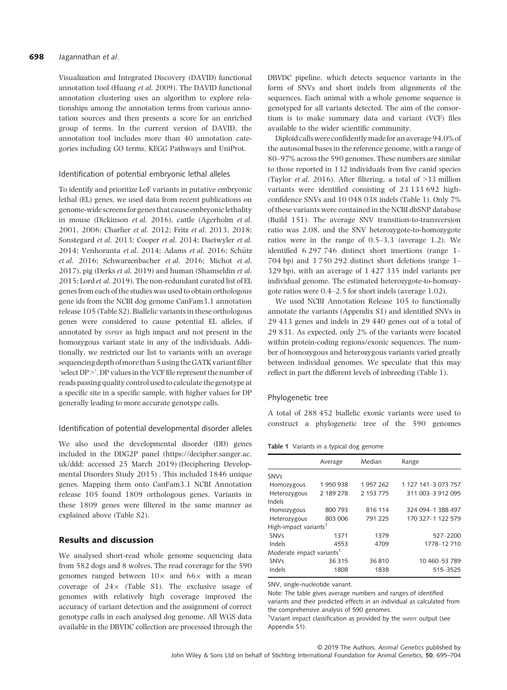#### 698 Jagannathan et al.

Visualization and Integrated Discovery (DAVID) functional annotation tool (Huang et al. 2009). The DAVID functional annotation clustering uses an algorithm to explore relationships among the annotation terms from various annotation sources and then presents a score for an enriched group of terms. In the current version of DAVID, the annotation tool includes more than 40 annotation categories including GO terms, KEGG Pathways and UniProt.

#### Identification of potential embryonic lethal alleles

To identify and prioritize LoF variants in putative embryonic lethal (EL) genes, we used data from recent publications on genome-wide screens for genes that cause embryonic lethality in mouse (Dickinson et al. 2016), cattle (Agerholm et al. 2001, 2006; Charlier et al. 2012; Fritz et al. 2013, 2018; Sonstegard et al. 2013; Cooper et al. 2014; Daetwyler et al. 2014; Venhoranta et al. 2014; Adams et al. 2016; Schütz et al. 2016; Schwarzenbacher et al. 2016; Michot et al. 2017), pig (Derks et al. 2019) and human (Shamseldin et al. 2015; Lord et al. 2019). The non-redundant curated list of EL genes from each of the studies was used to obtain orthologous gene ids from the NCBI dog genome CanFam3.1 annotation release 105 (Table S2). Biallelic variants in these orthologous genes were considered to cause potential EL alleles, if annotated by SNPEFF as high impact and not present in the homozygous variant state in any of the individuals. Additionally, we restricted our list to variants with an average sequencing depth of more than 5 using the GATK variant filter 'select DP >'. DP values in the VCF file represent the number of reads passing quality control used to calculate the genotype at a specific site in a specific sample, with higher values for DP generally leading to more accurate genotype calls.

#### Identification of potential developmental disorder alleles

We also used the developmental disorder (DD) genes included in the DDG2P panel ([https://decipher.sanger.ac.](https://decipher.sanger.ac.uk/ddd) [uk/ddd](https://decipher.sanger.ac.uk/ddd); accessed 25 March 2019) (Deciphering Developmental Disorders Study 2015) . This included 1846 unique genes. Mapping them onto CanFam3.1 NCBI Annotation release 105 found 1809 orthologous genes. Variants in these 1809 genes were filtered in the same manner as explained above (Table S2).

#### Results and discussion

We analysed short-read whole genome sequencing data from 582 dogs and 8 wolves. The read coverage for the 590 genomes ranged between  $10\times$  and  $66\times$  with a mean coverage of  $24\times$  (Table S1). The exclusive usage of genomes with relatively high coverage improved the accuracy of variant detection and the assignment of correct genotype calls in each analysed dog genome. All WGS data available in the DBVDC collection are processed through the

DBVDC pipeline, which detects sequence variants in the form of SNVs and short indels from alignments of the sequences. Each animal with a whole genome sequence is genotyped for all variants detected. The aim of the consortium is to make summary data and variant (VCF) files available to the wider scientific community.

Diploid calls were confidently made for an average 94.0% of the autosomal bases in the reference genome, with a range of 80–97% across the 590 genomes. These numbers are similar to those reported in 132 individuals from five canid species (Taylor et al. 2016). After filtering, a total of >33 million variants were identified consisting of 23 133 692 highconfidence SNVs and 10 048 038 indels (Table 1). Only 7% of these variants were contained in the NCBI dbSNP database (Build 151). The average SNV transition-to-transversion ratio was 2.08, and the SNV heterozygote-to-homozygote ratios were in the range of 0.5–3.3 (average 1.2). We identified 6 297 746 distinct short insertions (range 1– 704 bp) and 3 750 292 distinct short deletions (range 1– 329 bp), with an average of 1 427 335 indel variants per individual genome. The estimated heterozygote-to-homozygote ratios were 0.4–2.5 for short indels (average 1.02).

We used NCBI Annotation Release 105 to functionally annotate the variants (Appendix S1) and identified SNVs in 29 413 genes and indels in 29 440 genes out of a total of 29 831. As expected, only 2% of the variants were located within protein-coding regions/exonic sequences. The number of homozygous and heterozygous variants varied greatly between individual genomes. We speculate that this may reflect in part the different levels of inbreeding (Table 1).

#### Phylogenetic tree

A total of 288 452 biallelic exonic variants were used to construct a phylogenetic tree of the 590 genomes

#### Table 1 Variants in a typical dog genome

|                                       | Average   | Median    | Range               |  |  |  |
|---------------------------------------|-----------|-----------|---------------------|--|--|--|
| <b>SNVs</b>                           |           |           |                     |  |  |  |
| Homozygous                            | 1950938   | 1957262   | 1 127 141-3 073 757 |  |  |  |
| Heterozygous                          | 2 189 278 | 2 153 775 | 311 003-3 912 095   |  |  |  |
| Indels                                |           |           |                     |  |  |  |
| Homozygous                            | 800 793   | 816 114   | 324 094 - 1 388 497 |  |  |  |
| Heterozygous                          | 803 006   | 791 225   | 170 327-1 122 579   |  |  |  |
| High-impact variants <sup>1</sup>     |           |           |                     |  |  |  |
| <b>SNVs</b>                           | 1371      | 1379      | 527-2200            |  |  |  |
| Indels                                | 4553      | 4709      | 1778-12 710         |  |  |  |
| Moderate impact variants <sup>1</sup> |           |           |                     |  |  |  |
| <b>SNVs</b>                           | 36315     | 36810     | 10 460 - 53 789     |  |  |  |
| Indels                                | 1808      | 1838      | 515-3525            |  |  |  |

SNV, single-nucleotide variant.

Note: The table gives average numbers and ranges of identified variants and their predicted effects in an individual as calculated from the comprehensive analysis of 590 genomes.

<sup>1</sup>Variant impact classification as provided by the SNPEFF output (see Appendix S1).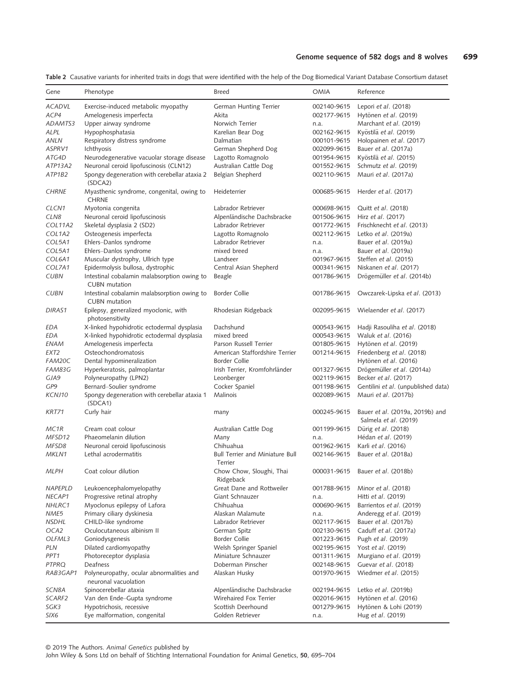| Gene               | Phenotype                                                           | <b>Breed</b>                                      | <b>OMIA</b> | Reference                                                |
|--------------------|---------------------------------------------------------------------|---------------------------------------------------|-------------|----------------------------------------------------------|
| <b>ACADVL</b>      | Exercise-induced metabolic myopathy                                 | German Hunting Terrier                            | 002140-9615 | Lepori et al. (2018)                                     |
| ACP4               | Amelogenesis imperfecta                                             | Akita                                             | 002177-9615 | Hytönen et al. (2019)                                    |
| ADAMTS3            | Upper airway syndrome                                               | Norwich Terrier                                   | n.a.        | Marchant et al. (2019)                                   |
| ALPL               | Hypophosphatasia                                                    | Karelian Bear Dog                                 | 002162-9615 | Kyöstilä et al. (2019)                                   |
| ANLN               | Respiratory distress syndrome                                       | Dalmatian                                         | 000101-9615 | Holopainen et al. (2017)                                 |
| ASPRV1             | Ichthyosis                                                          | German Shepherd Dog                               | 002099-9615 | Bauer et al. (2017a)                                     |
| ATG4D              | Neurodegenerative vacuolar storage disease                          | Lagotto Romagnolo                                 | 001954-9615 | Kyöstilä et al. (2015)                                   |
| ATP13A2            | Neuronal ceroid lipofuscinosis (CLN12)                              | Australian Cattle Dog                             | 001552-9615 | Schmutz et al. (2019)                                    |
| ATP1B2             | Spongy degeneration with cerebellar ataxia 2<br>(SDCA2)             | Belgian Shepherd                                  | 002110-9615 | Mauri et al. (2017a)                                     |
| <b>CHRNE</b>       | Myasthenic syndrome, congenital, owing to<br><b>CHRNE</b>           | Heideterrier                                      | 000685-9615 | Herder et al. (2017)                                     |
| CLCN <sub>1</sub>  | Myotonia congenita                                                  | Labrador Retriever                                | 000698-9615 | Quitt <i>et al.</i> (2018)                               |
| CLN8               | Neuronal ceroid lipofuscinosis                                      | Alpenländische Dachsbracke                        | 001506-9615 | Hirz <i>et al.</i> (2017)                                |
| <b>COL11A2</b>     | Skeletal dysplasia 2 (SD2)                                          | Labrador Retriever                                | 001772-9615 | Frischknecht et al. (2013)                               |
| COL1A2             | Osteogenesis imperfecta                                             | Lagotto Romagnolo                                 | 002112-9615 | Letko <i>et al.</i> (2019a)                              |
| COL5A1             | Ehlers-Danlos syndrome                                              | Labrador Retriever                                | n.a.        | Bauer et al. (2019a)                                     |
| COL5A1             | Ehlers-Danlos syndrome                                              | mixed breed                                       | n.a.        | Bauer et al. (2019a)                                     |
| COL6A1             | Muscular dystrophy, Ullrich type                                    | Landseer                                          | 001967-9615 | Steffen et al. (2015)                                    |
| COL7A1             | Epidermolysis bullosa, dystrophic                                   | Central Asian Shepherd                            | 000341-9615 | Niskanen et al. (2017)                                   |
| <b>CUBN</b>        | Intestinal cobalamin malabsorption owing to<br><b>CUBN</b> mutation | Beagle                                            | 001786-9615 | Drögemüller et al. (2014b)                               |
| <b>CUBN</b>        | Intestinal cobalamin malabsorption owing to<br><b>CUBN</b> mutation | Border Collie                                     | 001786-9615 | Owczarek-Lipska et al. (2013)                            |
| <b>DIRAS1</b>      | Epilepsy, generalized myoclonic, with<br>photosensitivity           | Rhodesian Ridgeback                               | 002095-9615 | Wielaender et al. (2017)                                 |
| EDA                | X-linked hypohidrotic ectodermal dysplasia                          | Dachshund                                         | 000543-9615 | Hadji Rasouliha et al. (2018)                            |
| EDA                | X-linked hypohidrotic ectodermal dysplasia                          | mixed breed                                       | 000543-9615 | Waluk et al. (2016)                                      |
| ENAM               | Amelogenesis imperfecta                                             | Parson Russell Terrier                            | 001805-9615 | Hytönen et al. (2019)                                    |
| EXT2               | Osteochondromatosis                                                 | American Staffordshire Terrier                    | 001214-9615 | Friedenberg et al. (2018)                                |
| FAM20C             | Dental hypomineralization                                           | <b>Border Collie</b>                              |             | Hytönen et al. (2016)                                    |
| FAM83G             | Hyperkeratosis, palmoplantar                                        | Irish Terrier, Kromfohrländer                     | 001327-9615 | Drögemüller et al. (2014a)                               |
| GJA9               | Polyneuropathy (LPN2)                                               | Leonberger                                        | 002119-9615 | Becker et al. (2017)                                     |
| GP <sub>9</sub>    | Bernard-Soulier syndrome                                            | Cocker Spaniel                                    | 001198-9615 | Gentilini et al. (unpublished data)                      |
| KCNJ10             | Spongy degeneration with cerebellar ataxia 1<br>(SDCA1)             | Malinois                                          | 002089-9615 | Mauri et al. (2017b)                                     |
| <b>KRT71</b>       | Curly hair                                                          | many                                              | 000245-9615 | Bauer et al. (2019a, 2019b) and<br>Salmela et al. (2019) |
| MC1R               | Cream coat colour                                                   | Australian Cattle Dog                             | 001199-9615 | Dürig et al. (2018)                                      |
| MFSD12             | Phaeomelanin dilution                                               | Many                                              | n.a.        | Hédan et al. (2019)                                      |
| MFSD8              | Neuronal ceroid lipofuscinosis                                      | Chihuahua                                         | 001962-9615 | Karli et al. (2016)                                      |
| MKLN1              | Lethal acrodermatitis                                               | <b>Bull Terrier and Miniature Bull</b><br>Terrier | 002146-9615 | Bauer et al. (2018a)                                     |
| <b>MLPH</b>        | Coat colour dilution                                                | Chow Chow, Sloughi, Thai<br>Ridgeback             | 000031-9615 | Bauer et al. (2018b)                                     |
| NAPEPLD            | Leukoencephalomyelopathy                                            | Great Dane and Rottweiler                         | 001788-9615 | Minor et al. (2018)                                      |
| NECAP1             | Progressive retinal atrophy                                         | Giant Schnauzer                                   | n.a.        | Hitti et al. (2019)                                      |
| NHLRC1             | Myoclonus epilepsy of Lafora                                        | Chihuahua                                         | 000690-9615 | Barrientos et al. (2019)                                 |
| NME5               | Primary ciliary dyskinesia                                          | Alaskan Malamute                                  | n.a.        | Anderegg et al. (2019)                                   |
| <b>NSDHL</b>       | CHILD-like syndrome                                                 | Labrador Retriever                                | 002117-9615 | Bauer et al. (2017b)                                     |
| OCA2               | Oculocutaneous albinism II                                          | German Spitz                                      | 002130-9615 | Caduff et al. (2017a)                                    |
| OLFML3             | Goniodysgenesis                                                     | <b>Border Collie</b>                              | 001223-9615 | Pugh <i>et al.</i> (2019)                                |
| PLN                | Dilated cardiomyopathy                                              | Welsh Springer Spaniel                            | 002195-9615 | Yost et al. (2019)                                       |
| PPT1               | Photoreceptor dysplasia                                             | Miniature Schnauzer                               | 001311-9615 | Murgiano et al. (2019)                                   |
| PTPRQ              | Deafness                                                            | Doberman Pinscher                                 | 002148-9615 | Guevar et al. (2018)                                     |
| RAB3GAP1           | Polyneuropathy, ocular abnormalities and<br>neuronal vacuolation    | Alaskan Husky                                     | 001970-9615 | Wiedmer et al. (2015)                                    |
| SCN8A              | Spinocerebellar ataxia                                              | Alpenländische Dachsbracke                        | 002194-9615 | Letko et al. (2019b)                                     |
| SCARF <sub>2</sub> | Van den Ende-Gupta syndrome                                         | Wirehaired Fox Terrier                            | 002016-9615 | Hytönen et al. (2016)                                    |
| SGK3               | Hypotrichosis, recessive                                            | Scottish Deerhound                                | 001279-9615 | Hytönen & Lohi (2019)                                    |
| SIX6               | Eye malformation, congenital                                        | Golden Retriever                                  | n.a.        | Hug et al. (2019)                                        |

Table 2 Causative variants for inherited traits in dogs that were identified with the help of the Dog Biomedical Variant Database Consortium dataset

© 2019 The Authors. Animal Genetics published by

John Wiley & Sons Ltd on behalf of Stichting International Foundation for Animal Genetics, 50, 695–704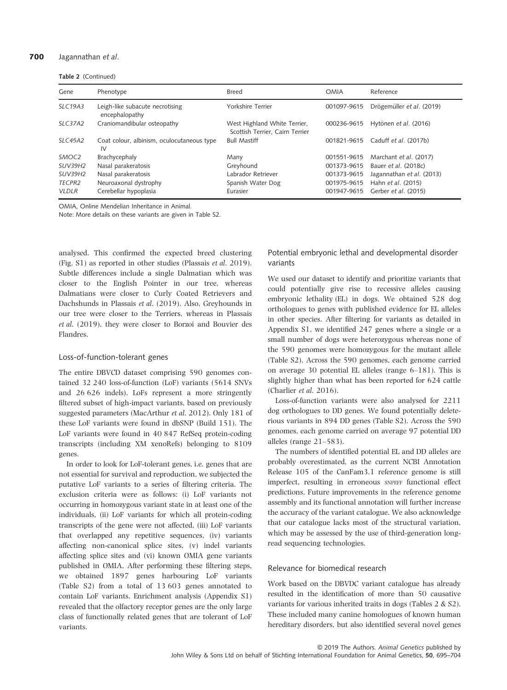#### 700 Jagannathan et al.

Table 2 (Continued)

| Gene              | Phenotype                                         | <b>Breed</b>                                                    | <b>OMIA</b> | Reference                 |
|-------------------|---------------------------------------------------|-----------------------------------------------------------------|-------------|---------------------------|
| <b>SLC19A3</b>    | Leigh-like subacute necrotising<br>encephalopathy | Yorkshire Terrier                                               | 001097-9615 | Drögemüller et al. (2019) |
| <b>SLC37A2</b>    | Craniomandibular osteopathy                       | West Highland White Terrier,<br>Scottish Terrier, Cairn Terrier | 000236-9615 | Hytönen et al. (2016)     |
| SLC45A2           | Coat colour, albinism, oculocutaneous type<br>IV  | <b>Bull Mastiff</b>                                             | 001821-9615 | Caduff et al. (2017b)     |
| SMOC <sub>2</sub> | Brachycephaly                                     | Many                                                            | 001551-9615 | Marchant et al. (2017)    |
| <b>SUV39H2</b>    | Nasal parakeratosis                               | Greyhound                                                       | 001373-9615 | Bauer et al. (2018c)      |
| <b>SUV39H2</b>    | Nasal parakeratosis                               | Labrador Retriever                                              | 001373-9615 | Jagannathan et al. (2013) |
| <b>TECPR2</b>     | Neuroaxonal dystrophy                             | Spanish Water Dog                                               | 001975-9615 | Hahn et al. (2015)        |
| <b>VLDLR</b>      | Cerebellar hypoplasia                             | Eurasier                                                        | 001947-9615 | Gerber et al. (2015)      |

OMIA, Online Mendelian Inheritance in Animal.

Note: More details on these variants are given in Table S2.

analysed. This confirmed the expected breed clustering (Fig. S1) as reported in other studies (Plassais et al. 2019). Subtle differences include a single Dalmatian which was closer to the English Pointer in our tree, whereas Dalmatians were closer to Curly Coated Retrievers and Dachshunds in Plassais et al. (2019). Also, Greyhounds in our tree were closer to the Terriers, whereas in Plassais et al. (2019), they were closer to Borzoi and Bouvier des Flandres.

#### Loss-of-function-tolerant genes

The entire DBVCD dataset comprising 590 genomes contained 32 240 loss-of-function (LoF) variants (5614 SNVs and 26 626 indels). LoFs represent a more stringently filtered subset of high-impact variants, based on previously suggested parameters (MacArthur et al. 2012). Only 181 of these LoF variants were found in dbSNP (Build 151). The LoF variants were found in 40 847 RefSeq protein-coding transcripts (including XM xenoRefs) belonging to 8109 genes.

In order to look for LoF-tolerant genes, i.e. genes that are not essential for survival and reproduction, we subjected the putative LoF variants to a series of filtering criteria. The exclusion criteria were as follows: (i) LoF variants not occurring in homozygous variant state in at least one of the individuals, (ii) LoF variants for which all protein-coding transcripts of the gene were not affected, (iii) LoF variants that overlapped any repetitive sequences, (iv) variants affecting non-canonical splice sites, (v) indel variants affecting splice sites and (vi) known OMIA gene variants published in OMIA. After performing these filtering steps, we obtained 1897 genes harbouring LoF variants (Table S2) from a total of 13 603 genes annotated to contain LoF variants. Enrichment analysis (Appendix S1) revealed that the olfactory receptor genes are the only large class of functionally related genes that are tolerant of LoF variants.

Potential embryonic lethal and developmental disorder variants

We used our dataset to identify and prioritize variants that could potentially give rise to recessive alleles causing embryonic lethality (EL) in dogs. We obtained 528 dog orthologues to genes with published evidence for EL alleles in other species. After filtering for variants as detailed in Appendix S1, we identified 247 genes where a single or a small number of dogs were heterozygous whereas none of the 590 genomes were homozygous for the mutant allele (Table S2). Across the 590 genomes, each genome carried on average 30 potential EL alleles (range 6–181). This is slightly higher than what has been reported for 624 cattle (Charlier et al. 2016).

Loss-of-function variants were also analysed for 2211 dog orthologues to DD genes. We found potentially deleterious variants in 894 DD genes (Table S2). Across the 590 genomes, each genome carried on average 97 potential DD alleles (range 21–583).

The numbers of identified potential EL and DD alleles are probably overestimated, as the current NCBI Annotation Release 105 of the CanFam3.1 reference genome is still imperfect, resulting in erroneous SNPEFF functional effect predictions. Future improvements in the reference genome assembly and its functional annotation will further increase the accuracy of the variant catalogue. We also acknowledge that our catalogue lacks most of the structural variation, which may be assessed by the use of third-generation longread sequencing technologies.

#### Relevance for biomedical research

Work based on the DBVDC variant catalogue has already resulted in the identification of more than 50 causative variants for various inherited traits in dogs (Tables 2 & S2). These included many canine homologues of known human hereditary disorders, but also identified several novel genes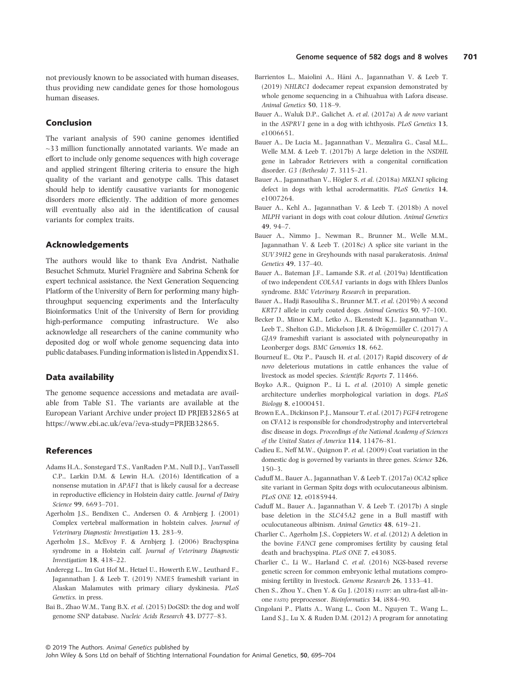not previously known to be associated with human diseases, thus providing new candidate genes for those homologous human diseases.

#### Conclusion

The variant analysis of 590 canine genomes identified ~33 million functionally annotated variants. We made an effort to include only genome sequences with high coverage and applied stringent filtering criteria to ensure the high quality of the variant and genotype calls. This dataset should help to identify causative variants for monogenic disorders more efficiently. The addition of more genomes will eventually also aid in the identification of causal variants for complex traits.

### Acknowledgements

The authors would like to thank Eva Andrist, Nathalie Besuchet Schmutz, Muriel Fragniere and Sabrina Schenk for expert technical assistance, the Next Generation Sequencing Platform of the University of Bern for performing many highthroughput sequencing experiments and the Interfaculty Bioinformatics Unit of the University of Bern for providing high-performance computing infrastructure. We also acknowledge all researchers of the canine community who deposited dog or wolf whole genome sequencing data into public databases. Funding information is listed in Appendix S1.

#### Data availability

The genome sequence accessions and metadata are available from Table S1. The variants are available at the European Variant Archive under project ID PRJEB32865 at [https://www.ebi.ac.uk/eva/?eva-study=PRJEB32865.](https://www.ebi.ac.uk/eva/?eva-study=PRJEB32865)

#### References

- Adams H.A., Sonstegard T.S., VanRaden P.M., Null D.J., VanTassell C.P., Larkin D.M. & Lewin H.A. (2016) Identification of a nonsense mutation in APAF1 that is likely causal for a decrease in reproductive efficiency in Holstein dairy cattle. Journal of Dairy Science 99, 6693–701.
- Agerholm J.S., Bendixen C., Andersen O. & Arnbjerg J. (2001) Complex vertebral malformation in holstein calves. Journal of Veterinary Diagnostic Investigation 13, 283–9.
- Agerholm J.S., McEvoy F. & Arnbjerg J. (2006) Brachyspina syndrome in a Holstein calf. Journal of Veterinary Diagnostic Investigation 18, 418–22.
- Anderegg L., Im Gut Hof M., Hetzel U., Howerth E.W., Leuthard F., Jagannathan J. & Leeb T. (2019) NME5 frameshift variant in Alaskan Malamutes with primary ciliary dyskinesia. PLoS Genetics. in press.
- Bai B., Zhao W.M., Tang B.X. et al. (2015) DoGSD: the dog and wolf genome SNP database. Nucleic Acids Research 43, D777–83.
- Barrientos L., Maiolini A., Häni A., Jagannathan V. & Leeb T. (2019) NHLRC1 dodecamer repeat expansion demonstrated by whole genome sequencing in a Chihuahua with Lafora disease. Animal Genetics 50, 118–9.
- Bauer A., Waluk D.P., Galichet A. et al. (2017a) A de novo variant in the ASPRV1 gene in a dog with ichthyosis. PLoS Genetics 13, e1006651.
- Bauer A., De Lucia M., Jagannathan V., Mezzalira G., Casal M.L., Welle M.M. & Leeb T. (2017b) A large deletion in the NSDHL gene in Labrador Retrievers with a congenital cornification disorder. G3 (Bethesda) 7, 3115–21.
- Bauer A., Jagannathan V., Högler S. et al. (2018a) MKLN1 splicing defect in dogs with lethal acrodermatitis. PLoS Genetics 14, e1007264.
- Bauer A., Kehl A., Jagannathan V. & Leeb T. (2018b) A novel MLPH variant in dogs with coat colour dilution. Animal Genetics 49, 94–7.
- Bauer A., Nimmo J., Newman R., Brunner M., Welle M.M., Jagannathan V. & Leeb T. (2018c) A splice site variant in the SUV39H2 gene in Greyhounds with nasal parakeratosis. Animal Genetics 49, 137–40.
- Bauer A., Bateman J.F., Lamande S.R. et al. (2019a) Identification of two independent COL5A1 variants in dogs with Ehlers Danlos syndrome. BMC Veterinary Research in preparation.
- Bauer A., Hadji Rasouliha S., Brunner M.T. et al. (2019b) A second KRT71 allele in curly coated dogs. Animal Genetics 50, 97–100.
- Becker D., Minor K.M., Letko A., Ekenstedt K.J., Jagannathan V., Leeb T., Shelton G.D., Mickelson J.R. & Drögemüller C. (2017) A GJA9 frameshift variant is associated with polyneuropathy in Leonberger dogs. BMC Genomics 18, 662.
- Bourneuf E., Otz P., Pausch H. et al. (2017) Rapid discovery of de novo deleterious mutations in cattle enhances the value of livestock as model species. Scientific Reports 7, 11466.
- Boyko A.R., Quignon P., Li L. et al. (2010) A simple genetic architecture underlies morphological variation in dogs. PLoS Biology 8, e1000451.
- Brown E.A., Dickinson P.J., Mansour T. et al. (2017) FGF4 retrogene on CFA12 is responsible for chondrodystrophy and intervertebral disc disease in dogs. Proceedings of the National Academy of Sciences of the United States of America 114, 11476–81.
- Cadieu E., Neff M.W., Quignon P. et al. (2009) Coat variation in the domestic dog is governed by variants in three genes. Science 326, 150–3.
- Caduff M., Bauer A., Jagannathan V. & Leeb T. (2017a) OCA2 splice site variant in German Spitz dogs with oculocutaneous albinism. PLoS ONE 12, e0185944.
- Caduff M., Bauer A., Jagannathan V. & Leeb T. (2017b) A single base deletion in the SLC45A2 gene in a Bull mastiff with oculocutaneous albinism. Animal Genetics 48, 619–21.
- Charlier C., Agerholm J.S., Coppieters W. et al. (2012) A deletion in the bovine FANCI gene compromises fertility by causing fetal death and brachyspina. PLoS ONE 7, e43085.
- Charlier C., Li W., Harland C. et al. (2016) NGS-based reverse genetic screen for common embryonic lethal mutations compromising fertility in livestock. Genome Research 26, 1333–41.
- Chen S., Zhou Y., Chen Y. & Gu J. (2018) FASTP: an ultra-fast all-inone FASTQ preprocessor. Bioinformatics 34, i884–90.
- Cingolani P., Platts A., Wang L., Coon M., Nguyen T., Wang L., Land S.J., Lu X. & Ruden D.M. (2012) A program for annotating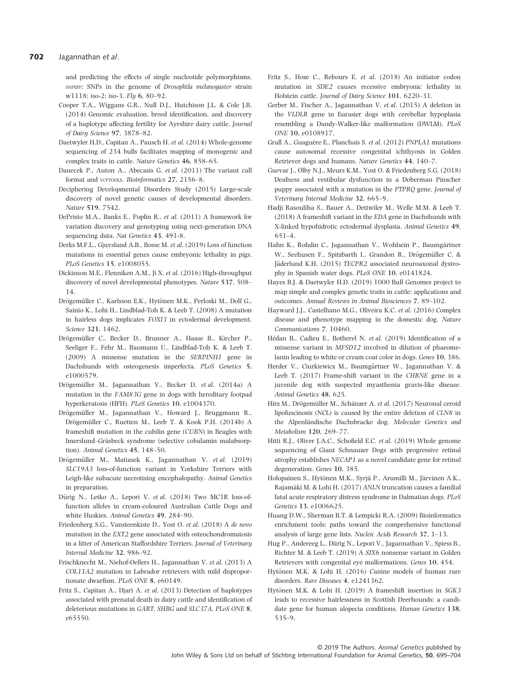#### 702 Jagannathan et al.

and predicting the effects of single nucleotide polymorphisms, SNPEFF: SNPs in the genome of Drosophila melanogaster strain w1118; iso-2; iso-3. Fly 6, 80–92.

- Cooper T.A., Wiggans G.R., Null D.J., Hutchison J.L. & Cole J.B. (2014) Genomic evaluation, breed identification, and discovery of a haplotype affecting fertility for Ayrshire dairy cattle. Journal of Dairy Science 97, 3878–82.
- Daetwyler H.D., Capitan A., Pausch H. et al. (2014) Whole-genome sequencing of 234 bulls facilitates mapping of monogenic and complex traits in cattle. Nature Genetics 46, 858–65.
- Danecek P., Auton A., Abecasis G. et al. (2011) The variant call format and vcFTOOLS. Bioinformatics 27, 2156-8.
- Deciphering Developmental Disorders Study (2015) Large-scale discovery of novel genetic causes of developmental disorders. Nature 519, 7542.
- DePristo M.A., Banks E., Poplin R., et al. (2011) A framework for variation discovery and genotyping using next-generation DNA sequencing data. Nat Genetics 43, 491-8.
- Derks M.F.L., Gjuvsland A.B., Bosse M. et al. (2019) Loss of function mutations in essential genes cause embryonic lethality in pigs. PLoS Genetics 15, e1008055.
- Dickinson M.E., Flenniken A.M., Ji X. et al. (2016) High-throughput discovery of novel developmental phenotypes. Nature 537, 508– 14.
- Drögemüller C., Karlsson E.K., Hytönen M.K., Perloski M., Dolf G., Sainio K., Lohi H., Lindblad-Toh K. & Leeb T. (2008) A mutation in hairless dogs implicates FOXI3 in ectodermal development. Science 321, 1462.
- Drögemüller C., Becker D., Brunner A., Haase B., Kircher P., Seeliger F., Fehr M., Baumann U., Lindblad-Toh K. & Leeb T. (2009) A missense mutation in the SERPINH1 gene in Dachshunds with osteogenesis imperfecta. PLoS Genetics 5, e1000579.
- Drögemüller M., Jagannathan V., Becker D. et al. (2014a) A mutation in the FAM83G gene in dogs with hereditary footpad hyperkeratosis (HFH). PLoS Genetics 10, e1004370.
- Drögemüller M., Jagannathan V., Howard J., Bruggmann R., Drögemüller C., Ruetten M., Leeb T. & Kook P.H. (2014b) A frameshift mutation in the cubilin gene (CUBN) in Beagles with Imerslund–Gräsbeck syndrome (selective cobalamin malabsorption). Animal Genetics 45, 148–50.
- Drögemüller M., Matiasek K., Jagannathan V. et al. (2019) SLC19A3 loss-of-function variant in Yorkshire Terriers with Leigh-like subacute necrotising encephalopathy. Animal Genetics in preparation.
- Dürig N., Letko A., Lepori V. et al. (2018) Two MC1R loss-offunction alleles in cream-coloured Australian Cattle Dogs and white Huskies. Animal Genetics 49, 284–90.
- Friedenberg S.G., Vansteenkiste D., Yost O. et al. (2018) A de novo mutation in the EXT2 gene associated with osteochondromatosis in a litter of American Staffordshire Terriers. Journal of Veterinary Internal Medicine 32, 986–92.
- Frischknecht M., Niehof-Oellers H., Jagannathan V. et al. (2013) A COL11A2 mutation in Labrador retrievers with mild disproportionate dwarfism. PLoS ONE 8, e60149.
- Fritz S., Capitan A., Djari A. et al. (2013) Detection of haplotypes associated with prenatal death in dairy cattle and identification of deleterious mutations in GART, SHBG and SLC37A. PLoS ONE 8, e65550.
- Fritz S., Hoze C., Rebours E. et al. (2018) An initiator codon mutation in SDE2 causes recessive embryonic lethality in Holstein cattle. Journal of Dairy Science 101, 6220–31.
- Gerber M., Fischer A., Jagannathan V. et al. (2015) A deletion in the VLDLR gene in Eurasier dogs with cerebellar hypoplasia resembling a Dandy-Walker-like malformation (DWLM). PLoS ONE 10, e0108917.
- Grall A., Guaguère E., Planchais S. et al. (2012) PNPLA1 mutations cause autosomal recessive congenital ichthyosis in Golden Retriever dogs and humans. Nature Genetics 44, 140–7.
- Guevar J., Olby N.J., Meurs K.M., Yost O. & Friedenberg S.G. (2018) Deafness and vestibular dysfunction in a Doberman Pinscher puppy associated with a mutation in the PTPRQ gene. Journal of Veterinary Internal Medicine 32, 665–9.
- Hadji Rasouliha S., Bauer A., Dettwiler M., Welle M.M. & Leeb T. (2018) A frameshift variant in the EDA gene in Dachshunds with X-linked hypohidrotic ectodermal dysplasia. Animal Genetics 49, 651–4.
- Hahn K., Rohdin C., Jagannathan V., Wohlsein P., Baumgärtner W., Seehusen F., Spitzbarth I., Grandon R., Drögemüller C. & Jäderlund K.H. (2015) TECPR2 associated neuroaxonal dystrophy in Spanish water dogs. PLoS ONE 10, e0141824.
- Hayes B.J. & Daetwyler H.D. (2019) 1000 Bull Genomes project to map simple and complex genetic traits in cattle: applications and outcomes. Annual Reviews in Animal Biosciences 7, 89–102.
- Hayward J.J., Castelhano M.G., Oliveira K.C. et al. (2016) Complex disease and phenotype mapping in the domestic dog. Nature Communications 7, 10460.
- Hédan B., Cadieu E., Botherel N. et al. (2019) Identification of a missense variant in MFSD12 involved in dilution of phaeomelanin leading to white or cream coat color in dogs. Genes 10, 386.
- Herder V., Ciurkiewicz M., Baumgärtner W., Jagannathan V. & Leeb T. (2017) Frame-shift variant in the CHRNE gene in a juvenile dog with suspected myasthenia gravis-like disease. Animal Genetics 48, 625.
- Hirz M., Drögemüller M., Schänzer A. et al. (2017) Neuronal ceroid lipofuscinosis (NCL) is caused by the entire deletion of CLN8 in the Alpenländische Dachsbracke dog. Molecular Genetics and Metabolism 120, 269–77.
- Hitti R.J., Oliver J.A.C., Schofield E.C. et al. (2019) Whole genome sequencing of Giant Schnauzer Dogs with progressive retinal atrophy establishes NECAP1 as a novel candidate gene for retinal degeneration. Genes 10, 385.
- Holopainen S., Hytönen M.K., Syrjä P., Arumilli M., Järvinen A.K., Rajamäki M. & Lohi H. (2017) ANLN truncation causes a familial fatal acute respiratory distress syndrome in Dalmatian dogs. PLoS Genetics 13, e1006625.
- Huang D.W., Sherman B.T. & Lempicki R.A. (2009) Bioinformatics enrichment tools: paths toward the comprehensive functional analysis of large gene lists. Nucleic Acids Research 37, 1–13.
- Hug P., Andereeg L., Dürig N., Lepori V., Jagannathan V., Spiess B., Richter M. & Leeb T. (2019) A SIX6 nonsense variant in Golden Retrievers with congenital eye malformations. Genes 10, 454.
- Hytönen M.K. & Lohi H. (2016) Canine models of human rare disorders. Rare Diseases 4, e1241362.
- Hytönen M.K. & Lohi H. (2019) A frameshift insertion in SGK3 leads to recessive hairlessness in Scottish Deerhounds: a candidate gene for human alopecia conditions. Human Genetics 138, 535–9.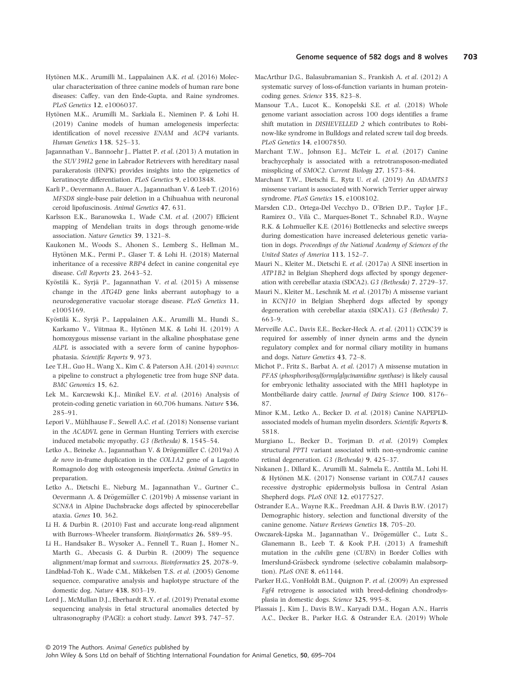- Hytönen M.K., Arumilli M., Lappalainen A.K. et al. (2016) Molecular characterization of three canine models of human rare bone diseases: Caffey, van den Ende-Gupta, and Raine syndromes. PLoS Genetics 12, e1006037.
- Hytönen M.K., Arumilli M., Sarkiala E., Nieminen P. & Lohi H. (2019) Canine models of human amelogenesis imperfecta: identification of novel recessive ENAM and ACP4 variants. Human Genetics 138, 525–33.
- Jagannathan V., Bannoehr J., Plattet P. et al. (2013) A mutation in the SUV39H2 gene in Labrador Retrievers with hereditary nasal parakeratosis (HNPK) provides insights into the epigenetics of keratinocyte differentiation. PLoS Genetics 9, e1003848.
- Karli P., Oevermann A., Bauer A., Jagannathan V. & Leeb T. (2016) MFSD8 single-base pair deletion in a Chihuahua with neuronal ceroid lipofuscinosis. Animal Genetics 47, 631.
- Karlsson E.K., Baranowska I., Wade C.M. et al. (2007) Efficient mapping of Mendelian traits in dogs through genome-wide association. Nature Genetics 39, 1321–8.
- Kaukonen M., Woods S., Ahonen S., Lemberg S., Hellman M., Hytönen M.K., Permi P., Glaser T. & Lohi H. (2018) Maternal inheritance of a recessive RBP4 defect in canine congenital eye disease. Cell Reports 23, 2643–52.
- Kyöstilä K., Syrjä P., Jagannathan V. et al. (2015) A missense change in the ATG4D gene links aberrant autophagy to a neurodegenerative vacuolar storage disease. PLoS Genetics 11, e1005169.
- Kyöstilä K., Syrjä P., Lappalainen A.K., Arumilli M., Hundi S., Karkamo V., Viitmaa R., Hytönen M.K. & Lohi H. (2019) A homozygous missense variant in the alkaline phosphatase gene ALPL is associated with a severe form of canine hypophosphatasia. Scientific Reports 9, 973.
- Lee T.H., Guo H., Wang X., Kim C. & Paterson A.H. (2014) SNPHYLO: a pipeline to construct a phylogenetic tree from huge SNP data. BMC Genomics 15, 62.
- Lek M., Karczewski K.J., Minikel E.V. et al. (2016) Analysis of protein-coding genetic variation in 60,706 humans. Nature 536, 285–91.
- Lepori V., Mühlhause F., Sewell A.C. et al. (2018) Nonsense variant in the ACADVL gene in German Hunting Terriers with exercise induced metabolic myopathy. G3 (Bethesda) 8, 1545–54.
- Letko A., Beineke A., Jagannathan V. & Drögemüller C. (2019a) A de novo in-frame duplication in the COL1A2 gene of a Lagotto Romagnolo dog with osteogenesis imperfecta. Animal Genetics in preparation.
- Letko A., Dietschi E., Nieburg M., Jagannathan V., Gurtner C., Oevermann A. & Drögemüller C. (2019b) A missense variant in SCN8A in Alpine Dachsbracke dogs affected by spinocerebellar ataxia. Genes 10, 362.
- Li H. & Durbin R. (2010) Fast and accurate long-read alignment with Burrows–Wheeler transform. Bioinformatics 26, 589–95.
- Li H., Handsaker B., Wysoker A., Fennell T., Ruan J., Homer N., Marth G., Abecasis G. & Durbin R. (2009) The sequence alignment/map format and SAMTOOLS. Bioinformatics 25, 2078–9.
- Lindblad-Toh K., Wade C.M., Mikkelsen T.S. et al. (2005) Genome sequence, comparative analysis and haplotype structure of the domestic dog. Nature 438, 803–19.
- Lord J., McMullan D.J., Eberhardt R.Y. et al. (2019) Prenatal exome sequencing analysis in fetal structural anomalies detected by ultrasonography (PAGE): a cohort study. Lancet 393, 747–57.
- MacArthur D.G., Balasubramanian S., Frankish A. et al. (2012) A systematic survey of loss-of-function variants in human proteincoding genes. Science 335, 823–8.
- Mansour T.A., Lucot K., Konopelski S.E. et al. (2018) Whole genome variant association across 100 dogs identifies a frame shift mutation in DISHEVELLED 2 which contributes to Robinow-like syndrome in Bulldogs and related screw tail dog breeds. PLoS Genetics 14, e1007850.
- Marchant T.W., Johnson E.J., McTeir L. et al. (2017) Canine brachycephaly is associated with a retrotransposon-mediated missplicing of SMOC2. Current Biology 27, 1573–84.
- Marchant T.W., Dietschi E., Rytz U. et al. (2019) An ADAMTS3 missense variant is associated with Norwich Terrier upper airway syndrome. PLoS Genetics 15, e1008102.
- Marsden C.D., Ortega-Del Vecchyo D., O'Brien D.P., Taylor J.F., Ramirez O., Vila C., Marques-Bonet T., Schnabel R.D., Wayne R.K. & Lohmueller K.E. (2016) Bottlenecks and selective sweeps during domestication have increased deleterious genetic variation in dogs. Proceedings of the National Academy of Sciences of the United States of America 113, 152–7.
- Mauri N., Kleiter M., Dietschi E. et al. (2017a) A SINE insertion in ATP1B2 in Belgian Shepherd dogs affected by spongy degeneration with cerebellar ataxia (SDCA2). G3 (Bethesda) 7, 2729–37.
- Mauri N., Kleiter M., Leschnik M. et al. (2017b) A missense variant in KCNJ10 in Belgian Shepherd dogs affected by spongy degeneration with cerebellar ataxia (SDCA1). G3 (Bethesda) 7, 663–9.
- Merveille A.C., Davis E.E., Becker-Heck A. et al. (2011) CCDC39 is required for assembly of inner dynein arms and the dynein regulatory complex and for normal ciliary motility in humans and dogs. Nature Genetics 43, 72–8.
- Michot P., Fritz S., Barbat A. et al. (2017) A missense mutation in PFAS (phosphoribosylformylglycinamidine synthase) is likely causal for embryonic lethality associated with the MH1 haplotype in Montbéliarde dairy cattle. Journal of Dairy Science 100, 8176-87.
- Minor K.M., Letko A., Becker D. et al. (2018) Canine NAPEPLDassociated models of human myelin disorders. Scientific Reports 8, 5818.
- Murgiano L., Becker D., Torjman D. et al. (2019) Complex structural PPT1 variant associated with non-syndromic canine retinal degeneration. G3 (Bethesda) 9, 425–37.
- Niskanen J., Dillard K., Arumilli M., Salmela E., Anttila M., Lohi H. & Hytönen M.K. (2017) Nonsense variant in COL7A1 causes recessive dystrophic epidermolysis bullosa in Central Asian Shepherd dogs. PLoS ONE 12, e0177527.
- Ostrander E.A., Wayne R.K., Freedman A.H. & Davis B.W. (2017) Demographic history, selection and functional diversity of the canine genome. Nature Reviews Genetics 18, 705–20.
- Owczarek-Lipska M., Jagannathan V., Drögemüller C., Lutz S., Glanemann B., Leeb T. & Kook P.H. (2013) A frameshift mutation in the cubilin gene (CUBN) in Border Collies with Imerslund-Gräsbeck syndrome (selective cobalamin malabsorption). PLoS ONE 8, e61144.
- Parker H.G., VonHoldt B.M., Quignon P. et al. (2009) An expressed Fgf4 retrogene is associated with breed-defining chondrodysplasia in domestic dogs. Science 325, 995–8.
- Plassais J., Kim J., Davis B.W., Karyadi D.M., Hogan A.N., Harris A.C., Decker B., Parker H.G. & Ostrander E.A. (2019) Whole